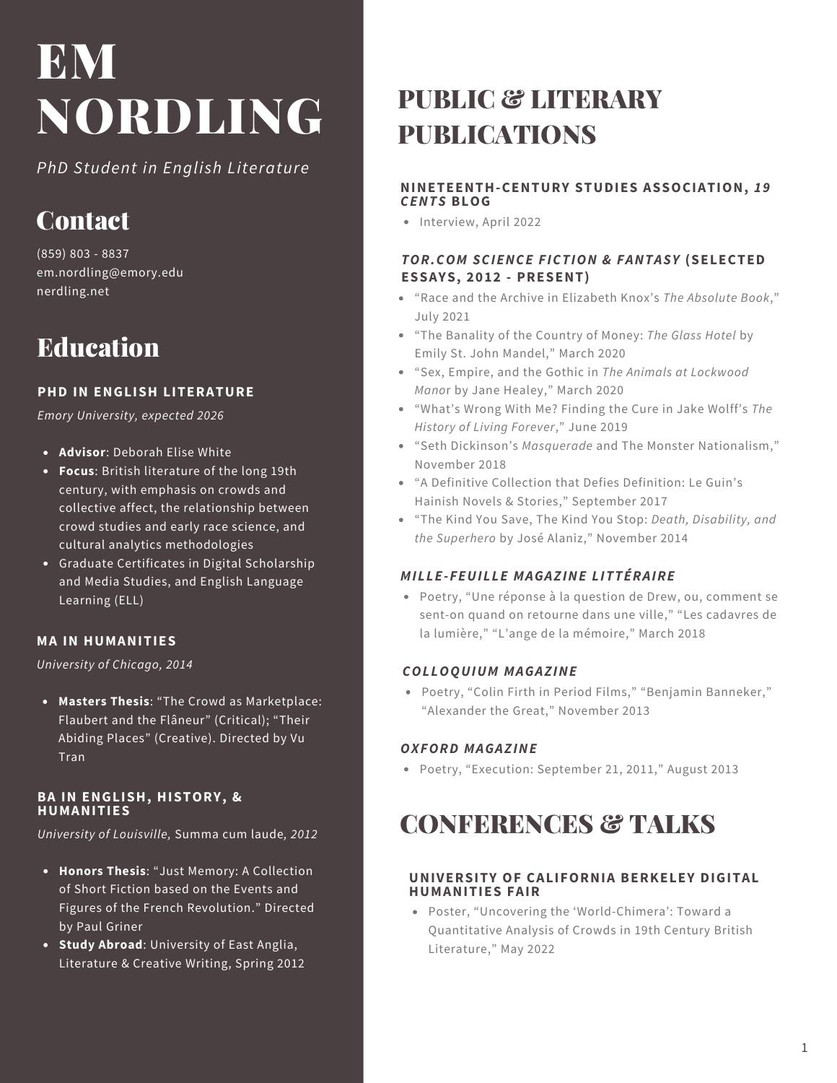*PhD Student in English Literature*

# **Contact**

(859) 803 - 8837 em.nordling@emory.edu nerdling.net

# Education

## **PHD IN ENGLISH LITERATURE**

*Emory University, expected 2026*

- **Advisor**: Deborah Elise White
- **Focus**: British literature of the long 19th century, with emphasis on crowds and collective affect, the relationship between crowd studies and early race science, and cultural analytics methodologies
- Graduate Certificates in Digital Scholarship and Media Studies, and English Language Learning (ELL)

## **MA IN HUMANITIES**

*University of Chicago, 2014*

**Masters Thesis**: "The Crowd as Marketplace: Flaubert and the Flâneur" (Critical); "Their Abiding Places" (Creative). Directed by Vu **Tran** 

#### **BA IN ENGLISH, HISTORY, & HUMANITIES**

*University of Louisville,* Summa cum laude*, 2012*

- **Honors Thesis**: "Just Memory: A Collection of Short Fiction based on the Events and Figures of the French Revolution." Directed by Paul Griner
- **Study Abroad**: University of East Anglia, Literature & Creative Writing, Spring 2012

# PUBLIC & LITERARY PUBLICATIONS

## **NINETEENTH-CENTURY STUDIES ASSOCIATION,** *19 CENTS* **BLOG**

• Interview, April 2022

## *TOR.COM SCIENCE FICTION & FANTASY* **(SELECTED ESSAYS, 2012 - PRESENT)**

- "Race and the Archive in Elizabeth Knox's *The Absolute Book*," July 2021
- "The Banality of the Country of Money: *The Glass Hotel* by Emily St. John Mandel," March 2020
- "Sex, Empire, and the Gothic in *The Animals at Lockwood Mano*r by Jane Healey," March 2020
- "What's Wrong With Me? Finding the Cure in Jake Wolff's *The History of Living Forever*," June 2019
- "Seth Dickinson's *Masquerade* and The Monster Nationalism," November 2018
- "A Definitive Collection that Defies Definition: Le Guin's Hainish Novels & Stories," September 2017
- "The Kind You Save, The Kind You Stop: *Death, Disability, and the Superhero* by José Alaniz," November 2014

## *MILLE-FEUILLE MAGAZINE LITTÉRAIRE*

Poetry, "Une réponse à la question de Drew, ou, comment se sent-on quand on retourne dans une ville," "Les cadavres de la lumière," "L'ange de la mémoire," March 2018

## *COLLOQUIUM MAGAZINE*

Poetry, "Colin Firth in Period Films," "Benjamin Banneker," "Alexander the Great," November 2013

## *OXFORD MAGAZINE*

Poetry, "Execution: September 21, 2011," August 2013

# CONFERENCES & TALKS

#### **UNIVERSITY OF CALIFORNIA BERKELEY DIGITAL HUMANITIES FAIR**

Poster, "Uncovering the 'World-Chimera': Toward a Quantitative Analysis of Crowds in 19th Century British Literature," May 2022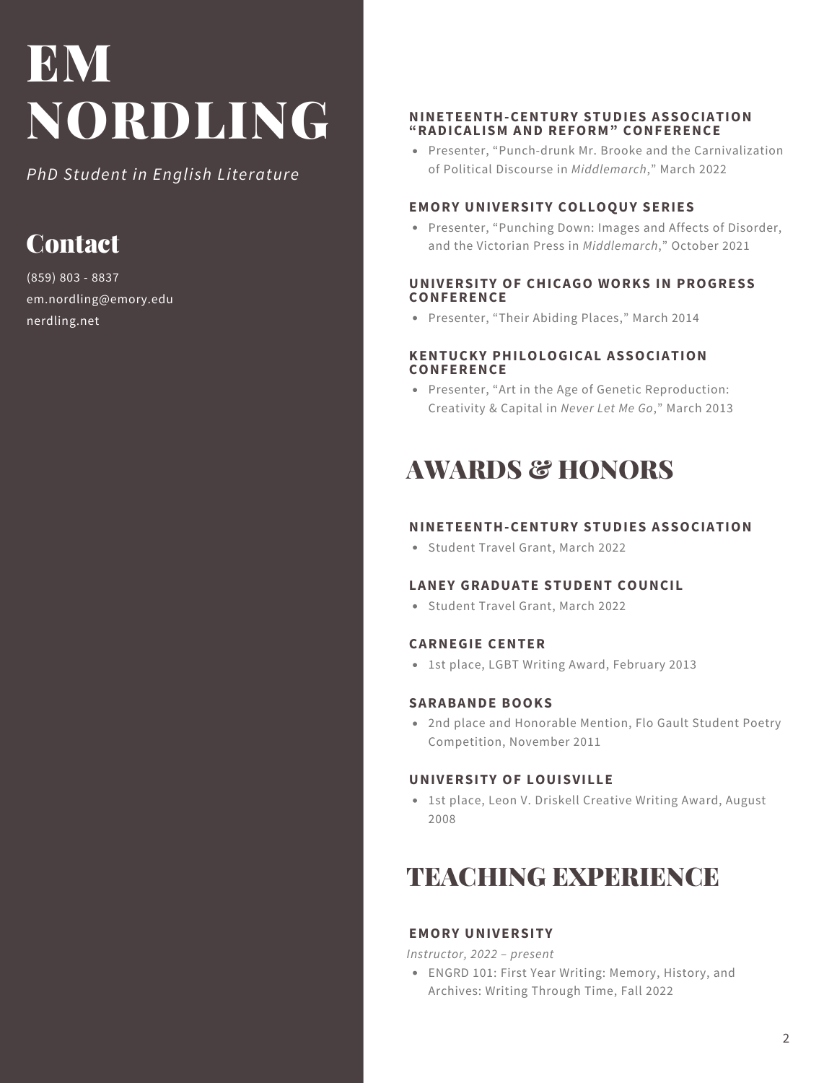*PhD Student in English Literature*

# **Contact**

(859) 803 - 8837 em.nordling@emory.edu nerdling.net

#### **NINETEENTH-CENTURY STUDIES ASSOCIATION "RADICALISM AND REFORM" CONFERENCE**

Presenter, "Punch-drunk Mr. Brooke and the Carnivalization of Political Discourse in *Middlemarch*," March 2022

#### **EMORY UNIVERSITY COLLOQUY SERIES**

Presenter, "Punching Down: Images and Affects of Disorder, and the Victorian Press in *Middlemarch*," October 2021

#### **UNIVERSITY OF CHICAGO WORKS IN PROGRESS CONFERENCE**

Presenter, "Their Abiding Places," March 2014

#### **KENTUCKY PHILOLOGICAL ASSOCIATION CONFERENCE**

Presenter, "Art in the Age of Genetic Reproduction: Creativity & Capital in *Never Let Me Go*," March 2013

# AWARDS & HONORS

## **NINETEENTH-CENTURY STUDIES ASSOCIATION**

Student Travel Grant, March 2022

## **LANEY GRADUATE STUDENT COUNCIL**

Student Travel Grant, March 2022

## **CARNEGIE CENTER**

1st place, LGBT Writing Award, February 2013

## **SARABANDE BOOKS**

2nd place and Honorable Mention, Flo Gault Student Poetry Competition, November 2011

## **UNIVERSITY OF LOUISVILLE**

1st place, Leon V. Driskell Creative Writing Award, August 2008

# TEACHING EXPERIENCE

## **EMORY UNIVERSITY**

*Instructor, 2022 – present*

ENGRD 101: First Year Writing: Memory, History, and Archives: Writing Through Time, Fall 2022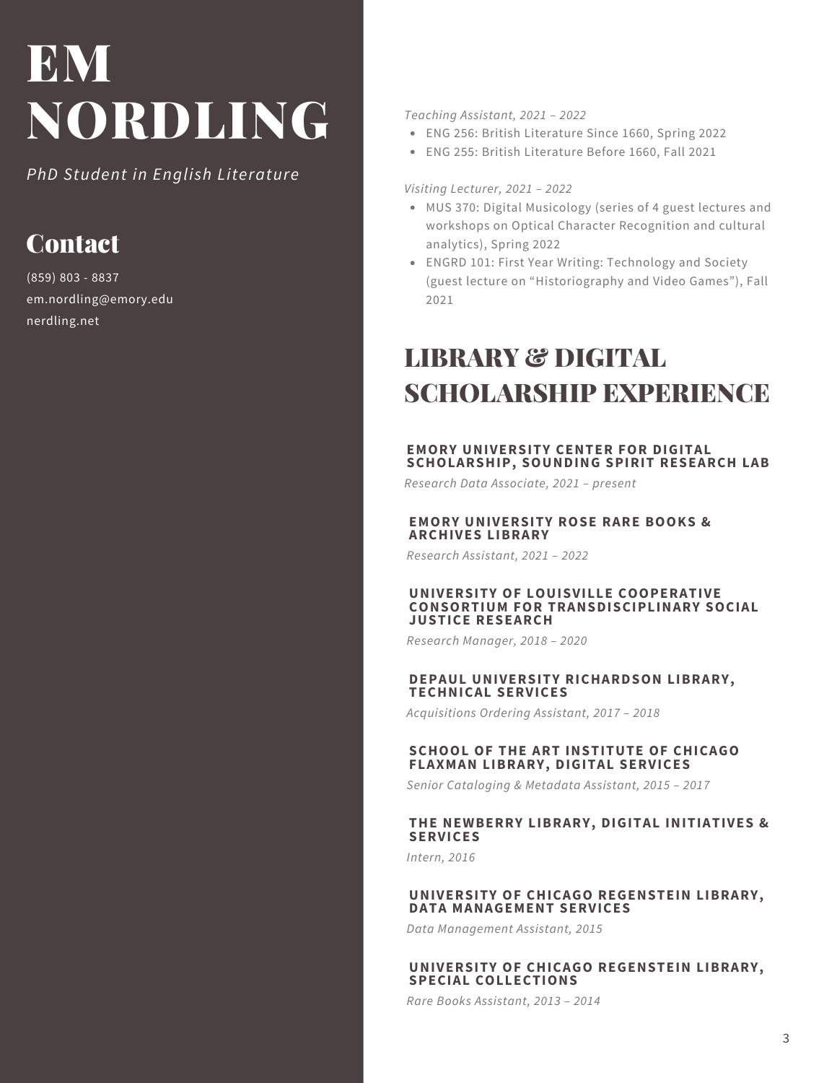*PhD Student in English Literature*

# **Contact**

(859) 803 - 8837 em.nordling@emory.edu nerdling.net

*Teaching Assistant, 2021 – 2022*

- ENG 256: British Literature Since 1660, Spring 2022
- ENG 255: British Literature Before 1660, Fall 2021

#### *Visiting Lecturer, 2021 – 2022*

- MUS 370: Digital Musicology (series of 4 guest lectures and workshops on Optical Character Recognition and cultural analytics), Spring 2022
- ENGRD 101: First Year Writing: Technology and Society (guest lecture on "Historiography and Video Games"), Fall 2021

# LIBRARY & DIGITAL SCHOLARSHIP EXPERIENCE

#### **EMORY UNIVERSITY CENTER FOR DIGITAL SCHOLARSHIP, SOUNDING SPIRIT RESEARCH LAB**

*Research Data Associate, 2021 – present*

#### **EMORY UNIVERSITY ROSE RARE BOOKS & ARCHIVES LIBRARY**

*Research Assistant, 2021 – 2022*

#### **UNIVERSITY OF LOUISVILLE COOPERATIVE CONSORTIUM FOR TRANSDISCIPLINARY SOCIAL JUSTICE RESEARCH**

*Research Manager, 2018 – 2020*

#### **DEPAUL UNIVERSITY RICHARDSON LIBRARY, TECHNICAL SERVICES**

*Acquisitions Ordering Assistant, 2017 – 2018*

#### **SCHOOL OF THE ART INSTITUTE OF CHICAGO FLAXMAN LIBRARY, DIGITAL SERVICES**

*Senior Cataloging & Metadata Assistant, 2015 – 2017*

#### **THE NEWBERRY LIBRARY, DIGITAL INITIATIVES & SERVICES**

*Intern, 2016*

#### **UNIVERSITY OF CHICAGO REGENSTEIN LIBRARY, DATA MANAGEMENT SERVICES**

*Data Management Assistant, 2015*

#### **UNIVERSITY OF CHICAGO REGENSTEIN LIBRARY, SPECIAL COLLECTIONS**

*Rare Books Assistant, 2013 – 2014*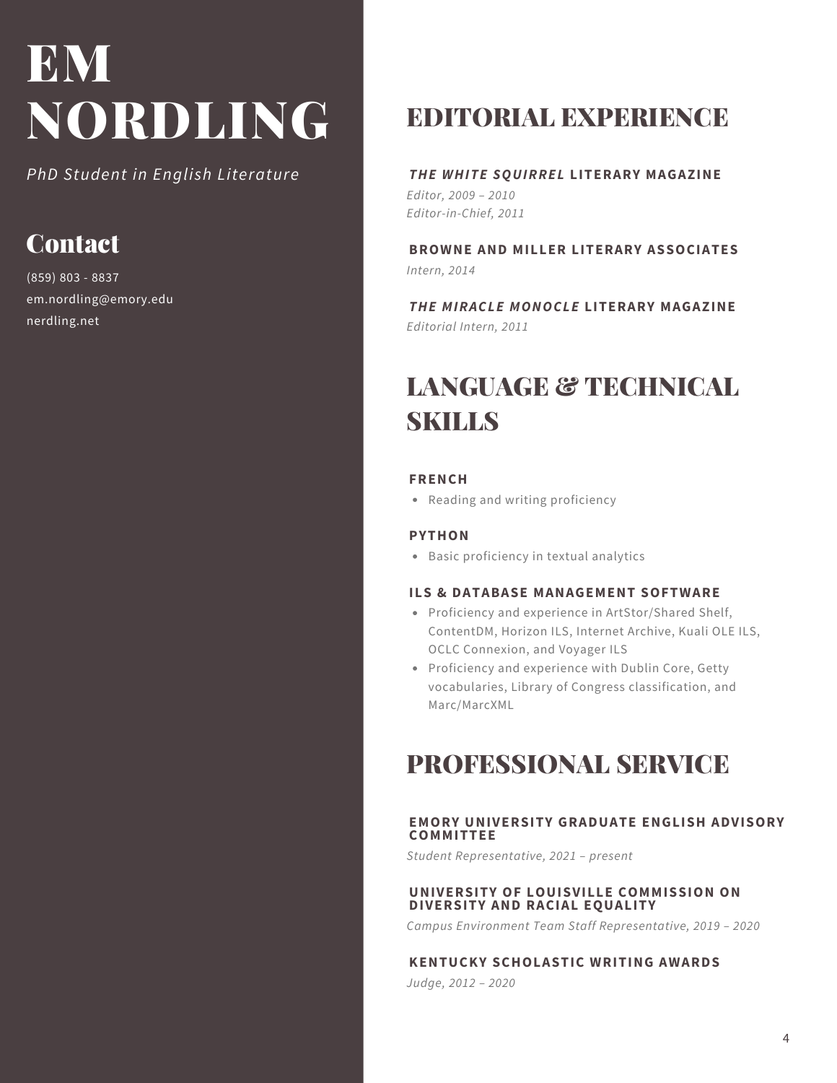*PhD Student in English Literature*

# **Contact**

(859) 803 - 8837 em.nordling@emory.edu nerdling.net

# EDITORIAL EXPERIENCE

# *THE WHITE SQUIRREL* **LITERARY MAGAZINE**

*Editor, 2009 – 2010 Editor-in-Chief, 2011*

**BROWNE AND MILLER LITERARY ASSOCIATES** *Intern, 2014*

*THE MIRACLE MONOCLE* **LITERARY MAGAZINE** *Editorial Intern, 2011*

# LANGUAGE & TECHNICAL **SKILLS**

#### **FRENCH**

• Reading and writing proficiency

## **PYTHON**

Basic proficiency in textual analytics

## **ILS & DATABASE MANAGEMENT SOFTWARE**

- Proficiency and experience in ArtStor/Shared Shelf, ContentDM, Horizon ILS, Internet Archive, Kuali OLE ILS, OCLC Connexion, and Voyager ILS
- Proficiency and experience with Dublin Core, Getty vocabularies, Library of Congress classification, and Marc/MarcXML

# PROFESSIONAL SERVICE

## **EMORY UNIVERSITY GRADUATE ENGLISH ADVISORY COMMITTEE**

*Student Representative, 2021 – present*

## **UNIVERSITY OF LOUISVILLE COMMISSION ON DIVERSITY AND RACIAL EQUALITY**

*Campus Environment Team Staff Representative, 2019 – 2020*

## **KENTUCKY SCHOLASTIC WRITING AWARDS**

*Judge, 2012 – 2020*